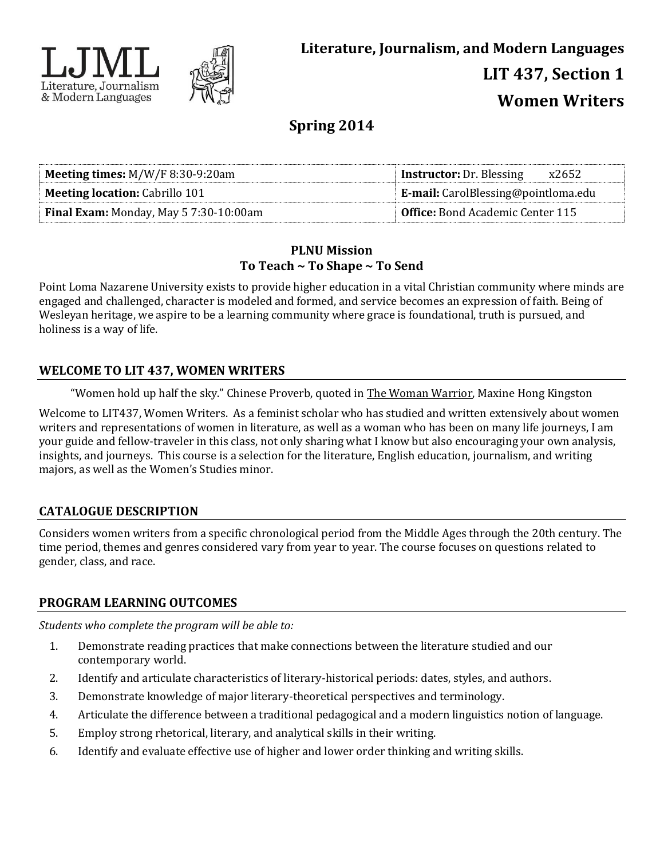



# **Spring 2014**

| <b>Meeting times:</b> $M/W/F$ 8:30-9:20am     | <b>Instructor:</b> Dr. Blessing<br>x2652   |
|-----------------------------------------------|--------------------------------------------|
| <b>Meeting location: Cabrillo 101</b>         | <b>E-mail:</b> CarolBlessing@pointloma.edu |
| <b>Final Exam:</b> Monday, May 5 7:30-10:00am | <b>Office:</b> Bond Academic Center 115    |

### **PLNU Mission To Teach ~ To Shape ~ To Send**

Point Loma Nazarene University exists to provide higher education in a vital Christian community where minds are engaged and challenged, character is modeled and formed, and service becomes an expression of faith. Being of Wesleyan heritage, we aspire to be a learning community where grace is foundational, truth is pursued, and holiness is a way of life.

# **WELCOME TO LIT 437, WOMEN WRITERS**

"Women hold up half the sky." Chinese Proverb, quoted in The Woman Warrior, Maxine Hong Kingston

Welcome to LIT437, Women Writers. As a feminist scholar who has studied and written extensively about women writers and representations of women in literature, as well as a woman who has been on many life journeys, I am your guide and fellow-traveler in this class, not only sharing what I know but also encouraging your own analysis, insights, and journeys. This course is a selection for the literature, English education, journalism, and writing majors, as well as the Women's Studies minor.

# **CATALOGUE DESCRIPTION**

Considers women writers from a specific chronological period from the Middle Ages through the 20th century. The time period, themes and genres considered vary from year to year. The course focuses on questions related to gender, class, and race.

# **PROGRAM LEARNING OUTCOMES**

*Students who complete the program will be able to:*

- 1. Demonstrate reading practices that make connections between the literature studied and our contemporary world.
- 2. Identify and articulate characteristics of literary-historical periods: dates, styles, and authors.
- 3. Demonstrate knowledge of major literary-theoretical perspectives and terminology.
- 4. Articulate the difference between a traditional pedagogical and a modern linguistics notion of language.
- 5. Employ strong rhetorical, literary, and analytical skills in their writing.
- 6. Identify and evaluate effective use of higher and lower order thinking and writing skills.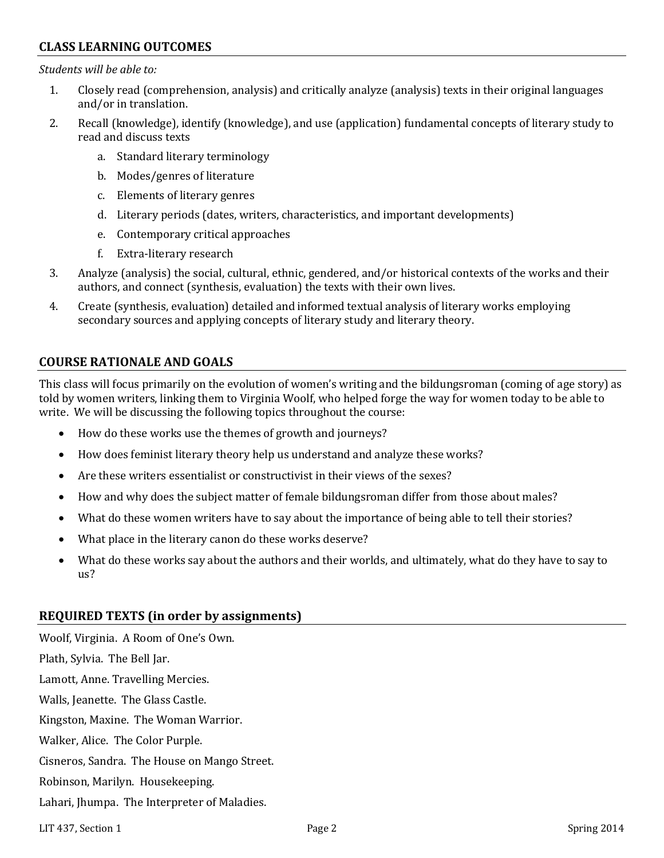### **CLASS LEARNING OUTCOMES**

*Students will be able to:*

- 1. Closely read (comprehension, analysis) and critically analyze (analysis) texts in their original languages and/or in translation.
- 2. Recall (knowledge), identify (knowledge), and use (application) fundamental concepts of literary study to read and discuss texts
	- a. Standard literary terminology
	- b. Modes/genres of literature
	- c. Elements of literary genres
	- d. Literary periods (dates, writers, characteristics, and important developments)
	- e. Contemporary critical approaches
	- f. Extra-literary research
- 3. Analyze (analysis) the social, cultural, ethnic, gendered, and/or historical contexts of the works and their authors, and connect (synthesis, evaluation) the texts with their own lives.
- 4. Create (synthesis, evaluation) detailed and informed textual analysis of literary works employing secondary sources and applying concepts of literary study and literary theory.

## **COURSE RATIONALE AND GOALS**

This class will focus primarily on the evolution of women's writing and the bildungsroman (coming of age story) as told by women writers, linking them to Virginia Woolf, who helped forge the way for women today to be able to write. We will be discussing the following topics throughout the course:

- How do these works use the themes of growth and journeys?
- How does feminist literary theory help us understand and analyze these works?
- Are these writers essentialist or constructivist in their views of the sexes?
- How and why does the subject matter of female bildungsroman differ from those about males?
- What do these women writers have to say about the importance of being able to tell their stories?
- What place in the literary canon do these works deserve?
- What do these works say about the authors and their worlds, and ultimately, what do they have to say to us?

### **REQUIRED TEXTS (in order by assignments)**

Woolf, Virginia. A Room of One's Own. Plath, Sylvia. The Bell Jar. Lamott, Anne. Travelling Mercies. Walls, Jeanette. The Glass Castle. Kingston, Maxine. The Woman Warrior. Walker, Alice. The Color Purple. Cisneros, Sandra. The House on Mango Street. Robinson, Marilyn. Housekeeping. Lahari, Jhumpa. The Interpreter of Maladies.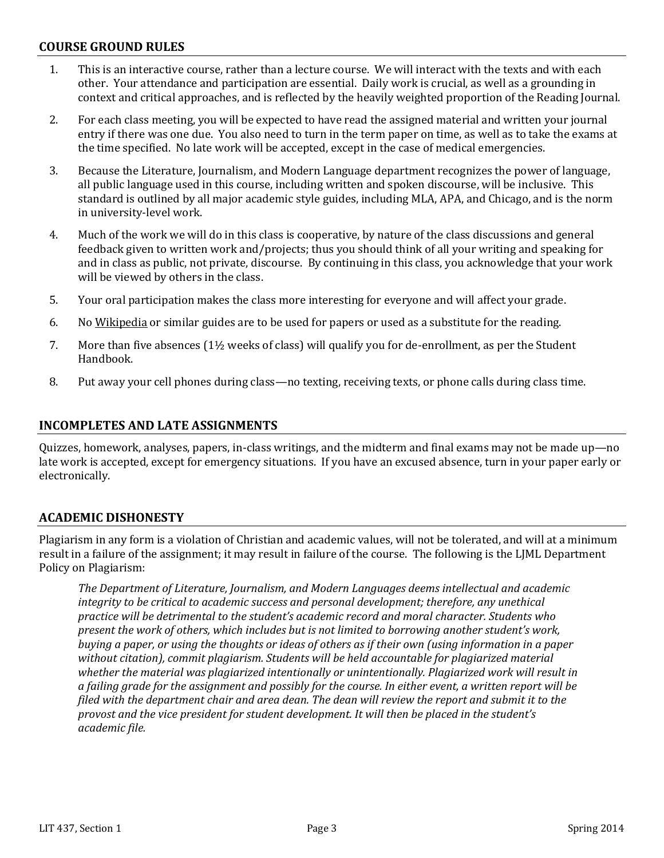#### **COURSE GROUND RULES**

- 1. This is an interactive course, rather than a lecture course. We will interact with the texts and with each other. Your attendance and participation are essential. Daily work is crucial, as well as a grounding in context and critical approaches, and is reflected by the heavily weighted proportion of the Reading Journal.
- 2. For each class meeting, you will be expected to have read the assigned material and written your journal entry if there was one due. You also need to turn in the term paper on time, as well as to take the exams at the time specified. No late work will be accepted, except in the case of medical emergencies.
- 3. Because the Literature, Journalism, and Modern Language department recognizes the power of language, all public language used in this course, including written and spoken discourse, will be inclusive. This standard is outlined by all major academic style guides, including MLA, APA, and Chicago, and is the norm in university-level work.
- 4. Much of the work we will do in this class is cooperative, by nature of the class discussions and general feedback given to written work and/projects; thus you should think of all your writing and speaking for and in class as public, not private, discourse. By continuing in this class, you acknowledge that your work will be viewed by others in the class.
- 5. Your oral participation makes the class more interesting for everyone and will affect your grade.
- 6. No Wikipedia or similar guides are to be used for papers or used as a substitute for the reading.
- 7. More than five absences (1½ weeks of class) will qualify you for de-enrollment, as per the Student Handbook.
- 8. Put away your cell phones during class—no texting, receiving texts, or phone calls during class time.

#### **INCOMPLETES AND LATE ASSIGNMENTS**

Quizzes, homework, analyses, papers, in-class writings, and the midterm and final exams may not be made up—no late work is accepted, except for emergency situations. If you have an excused absence, turn in your paper early or electronically.

#### **ACADEMIC DISHONESTY**

Plagiarism in any form is a violation of Christian and academic values, will not be tolerated, and will at a minimum result in a failure of the assignment; it may result in failure of the course. The following is the LJML Department Policy on Plagiarism:

*The Department of Literature, Journalism, and Modern Languages deems intellectual and academic integrity to be critical to academic success and personal development; therefore, any unethical practice will be detrimental to the student's academic record and moral character. Students who present the work of others, which includes but is not limited to borrowing another student's work, buying a paper, or using the thoughts or ideas of others as if their own (using information in a paper without citation), commit plagiarism. Students will be held accountable for plagiarized material whether the material was plagiarized intentionally or unintentionally. Plagiarized work will result in a failing grade for the assignment and possibly for the course. In either event, a written report will be filed with the department chair and area dean. The dean will review the report and submit it to the provost and the vice president for student development. It will then be placed in the student's academic file.*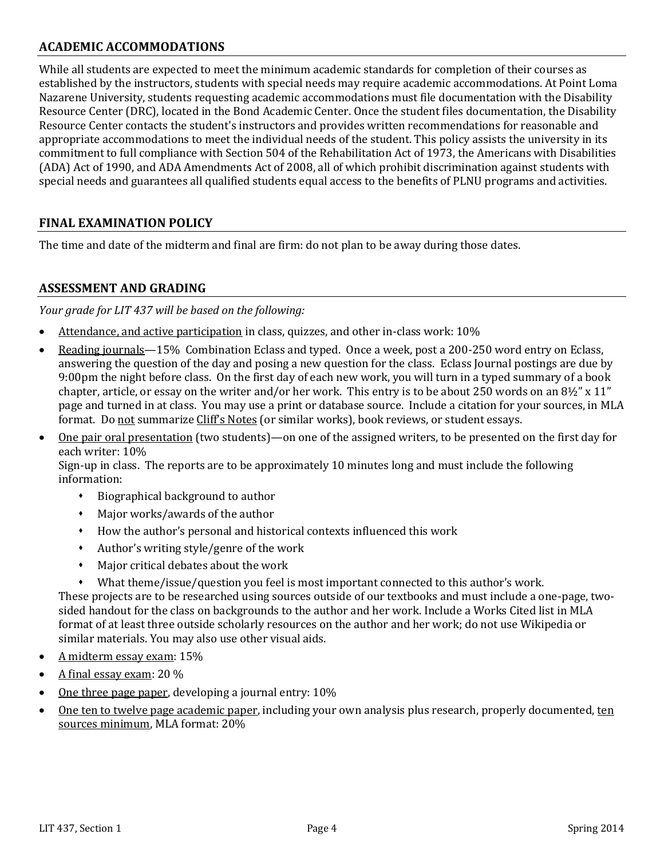### **ACADEMIC ACCOMMODATIONS**

While all students are expected to meet the minimum academic standards for completion of their courses as established by the instructors, students with special needs may require academic accommodations. At Point Loma Nazarene University, students requesting academic accommodations must file documentation with the Disability Resource Center (DRC), located in the Bond Academic Center. Once the student files documentation, the Disability Resource Center contacts the student's instructors and provides written recommendations for reasonable and appropriate accommodations to meet the individual needs of the student. This policy assists the university in its commitment to full compliance with Section 504 of the Rehabilitation Act of 1973, the Americans with Disabilities (ADA) Act of 1990, and ADA Amendments Act of 2008, all of which prohibit discrimination against students with special needs and guarantees all qualified students equal access to the benefits of PLNU programs and activities.

# **FINAL EXAMINATION POLICY**

The time and date of the midterm and final are firm: do not plan to be away during those dates.

## **ASSESSMENT AND GRADING**

*Your grade for LIT 437 will be based on the following:*

- Attendance, and active participation in class, quizzes, and other in-class work: 10%
- Reading journals—15% Combination Eclass and typed. Once a week, post a 200-250 word entry on Eclass, answering the question of the day and posing a new question for the class. Eclass Journal postings are due by 9:00pm the night before class. On the first day of each new work, you will turn in a typed summary of a book chapter, article, or essay on the writer and/or her work. This entry is to be about 250 words on an 8½" x 11" page and turned in at class. You may use a print or database source. Include a citation for your sources, in MLA format. Do not summarize Cliff's Notes (or similar works), book reviews, or student essays.
- One pair oral presentation (two students)—on one of the assigned writers, to be presented on the first day for each writer: 10%

Sign-up in class. The reports are to be approximately 10 minutes long and must include the following information:

- Biographical background to author
- Major works/awards of the author
- How the author's personal and historical contexts influenced this work
- Author's writing style/genre of the work
- Major critical debates about the work
- What theme/issue/question you feel is most important connected to this author's work.

These projects are to be researched using sources outside of our textbooks and must include a one-page, twosided handout for the class on backgrounds to the author and her work. Include a Works Cited list in MLA format of at least three outside scholarly resources on the author and her work; do not use Wikipedia or similar materials. You may also use other visual aids.

- A midterm essay exam: 15%
- A final essay exam: 20 %
- One three page paper, developing a journal entry: 10%
- One ten to twelve page academic paper, including your own analysis plus research, properly documented, ten sources minimum, MLA format: 20%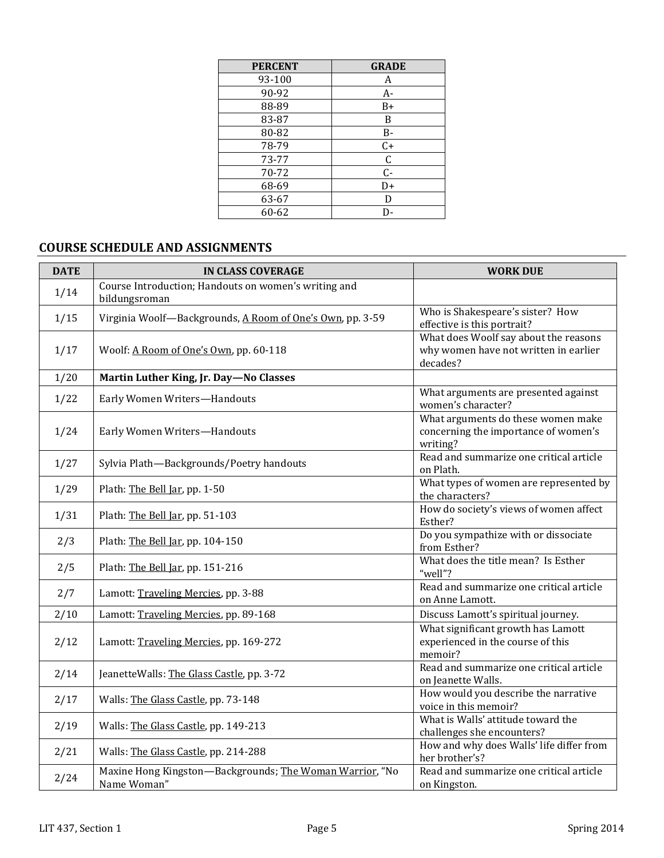| <b>PERCENT</b> | <b>GRADE</b> |
|----------------|--------------|
| 93-100         | A            |
| 90-92          | A-           |
| 88-89          | B+           |
| 83-87          | B            |
| 80-82          | B-           |
| 78-79          | $C+$         |
| 73-77          | $\mathsf C$  |
| 70-72          | $C -$        |
| 68-69          | D+           |
| 63-67          | D            |
| 60-62          | D-           |

# **COURSE SCHEDULE AND ASSIGNMENTS**

| <b>DATE</b> | <b>IN CLASS COVERAGE</b>                                                | <b>WORK DUE</b>                                                                            |
|-------------|-------------------------------------------------------------------------|--------------------------------------------------------------------------------------------|
| 1/14        | Course Introduction; Handouts on women's writing and<br>bildungsroman   |                                                                                            |
| 1/15        | Virginia Woolf-Backgrounds, A Room of One's Own, pp. 3-59               | Who is Shakespeare's sister? How<br>effective is this portrait?                            |
| 1/17        | Woolf: A Room of One's Own, pp. 60-118                                  | What does Woolf say about the reasons<br>why women have not written in earlier<br>decades? |
| 1/20        | Martin Luther King, Jr. Day-No Classes                                  |                                                                                            |
| 1/22        | Early Women Writers-Handouts                                            | What arguments are presented against<br>women's character?                                 |
| 1/24        | Early Women Writers-Handouts                                            | What arguments do these women make<br>concerning the importance of women's<br>writing?     |
| 1/27        | Sylvia Plath-Backgrounds/Poetry handouts                                | Read and summarize one critical article<br>on Plath.                                       |
| 1/29        | Plath: The Bell Jar, pp. 1-50                                           | What types of women are represented by<br>the characters?                                  |
| 1/31        | Plath: The Bell Jar, pp. 51-103                                         | How do society's views of women affect<br>Esther?                                          |
| 2/3         | Plath: The Bell Jar, pp. 104-150                                        | Do you sympathize with or dissociate<br>from Esther?                                       |
| 2/5         | Plath: The Bell Jar, pp. 151-216                                        | What does the title mean? Is Esther<br>"well"?                                             |
| 2/7         | Lamott: Traveling Mercies, pp. 3-88                                     | Read and summarize one critical article<br>on Anne Lamott.                                 |
| 2/10        | Lamott: Traveling Mercies, pp. 89-168                                   | Discuss Lamott's spiritual journey.                                                        |
| 2/12        | Lamott: Traveling Mercies, pp. 169-272                                  | What significant growth has Lamott<br>experienced in the course of this<br>memoir?         |
| 2/14        | JeanetteWalls: The Glass Castle, pp. 3-72                               | Read and summarize one critical article<br>on Jeanette Walls.                              |
| 2/17        | Walls: The Glass Castle, pp. 73-148                                     | How would you describe the narrative<br>voice in this memoir?                              |
| 2/19        | Walls: The Glass Castle, pp. 149-213                                    | What is Walls' attitude toward the<br>challenges she encounters?                           |
| 2/21        | Walls: The Glass Castle, pp. 214-288                                    | How and why does Walls' life differ from<br>her brother's?                                 |
| 2/24        | Maxine Hong Kingston-Backgrounds; The Woman Warrior, "No<br>Name Woman" | Read and summarize one critical article<br>on Kingston.                                    |